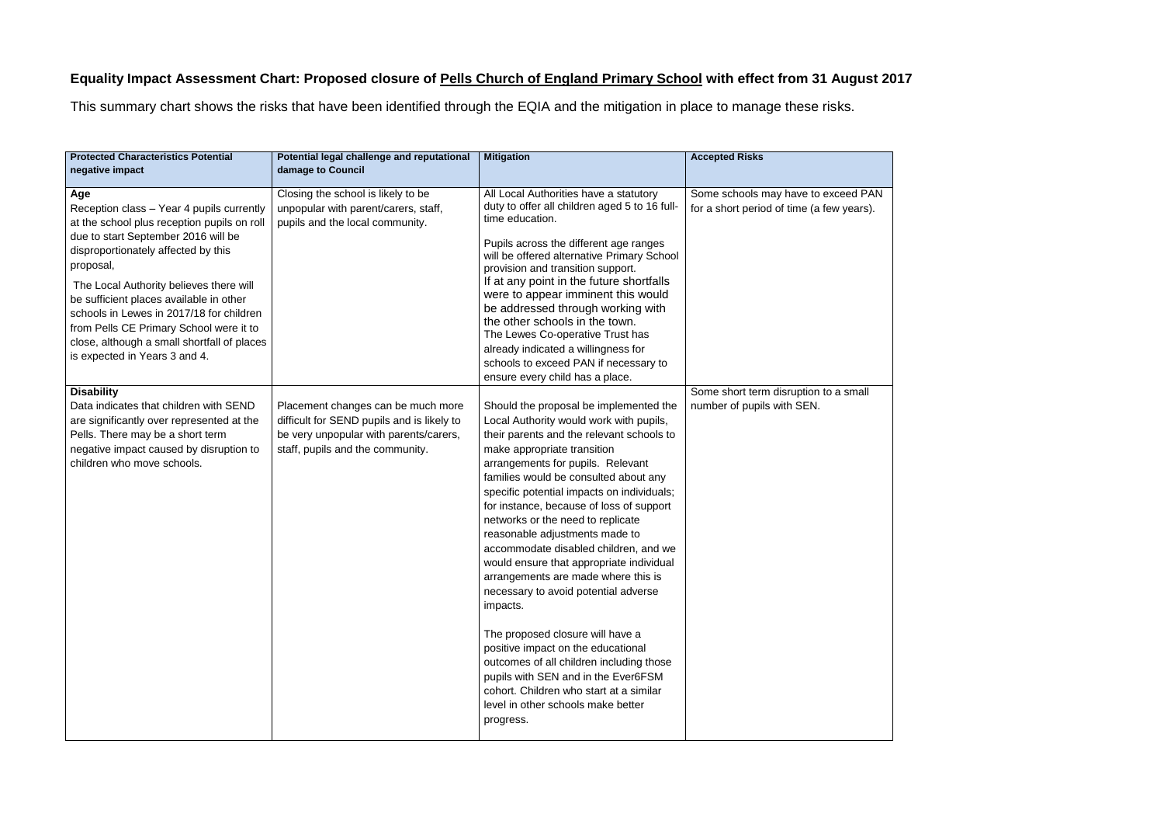## **Equality Impact Assessment Chart: Proposed closure of Pells Church of England Primary School with effect from 31 August 2017**

This summary chart shows the risks that have been identified through the EQIA and the mitigation in place to manage these risks.

| <b>Protected Characteristics Potential</b><br>negative impact                                                                                                                                                                                                                                                                                                                                                                                           | Potential legal challenge and reputational<br>damage to Council                                                                                                | <b>Mitigation</b>                                                                                                                                                                                                                                                                                                                                                                                                                                                                                                                                                                                                                                                                                                                                                                                                                                       | <b>Accepted Risks</b>                                                            |
|---------------------------------------------------------------------------------------------------------------------------------------------------------------------------------------------------------------------------------------------------------------------------------------------------------------------------------------------------------------------------------------------------------------------------------------------------------|----------------------------------------------------------------------------------------------------------------------------------------------------------------|---------------------------------------------------------------------------------------------------------------------------------------------------------------------------------------------------------------------------------------------------------------------------------------------------------------------------------------------------------------------------------------------------------------------------------------------------------------------------------------------------------------------------------------------------------------------------------------------------------------------------------------------------------------------------------------------------------------------------------------------------------------------------------------------------------------------------------------------------------|----------------------------------------------------------------------------------|
| Age<br>Reception class - Year 4 pupils currently<br>at the school plus reception pupils on roll<br>due to start September 2016 will be<br>disproportionately affected by this<br>proposal,<br>The Local Authority believes there will<br>be sufficient places available in other<br>schools in Lewes in 2017/18 for children<br>from Pells CE Primary School were it to<br>close, although a small shortfall of places<br>is expected in Years 3 and 4. | Closing the school is likely to be<br>unpopular with parent/carers, staff,<br>pupils and the local community.                                                  | All Local Authorities have a statutory<br>duty to offer all children aged 5 to 16 full-<br>time education.<br>Pupils across the different age ranges<br>will be offered alternative Primary School<br>provision and transition support.<br>If at any point in the future shortfalls<br>were to appear imminent this would<br>be addressed through working with<br>the other schools in the town.<br>The Lewes Co-operative Trust has<br>already indicated a willingness for<br>schools to exceed PAN if necessary to<br>ensure every child has a place.                                                                                                                                                                                                                                                                                                 | Some schools may have to exceed PAN<br>for a short period of time (a few years). |
| <b>Disability</b><br>Data indicates that children with SEND<br>are significantly over represented at the<br>Pells. There may be a short term<br>negative impact caused by disruption to<br>children who move schools.                                                                                                                                                                                                                                   | Placement changes can be much more<br>difficult for SEND pupils and is likely to<br>be very unpopular with parents/carers,<br>staff, pupils and the community. | Should the proposal be implemented the<br>Local Authority would work with pupils,<br>their parents and the relevant schools to<br>make appropriate transition<br>arrangements for pupils. Relevant<br>families would be consulted about any<br>specific potential impacts on individuals;<br>for instance, because of loss of support<br>networks or the need to replicate<br>reasonable adjustments made to<br>accommodate disabled children, and we<br>would ensure that appropriate individual<br>arrangements are made where this is<br>necessary to avoid potential adverse<br>impacts.<br>The proposed closure will have a<br>positive impact on the educational<br>outcomes of all children including those<br>pupils with SEN and in the Ever6FSM<br>cohort. Children who start at a similar<br>level in other schools make better<br>progress. | Some short term disruption to a small<br>number of pupils with SEN.              |